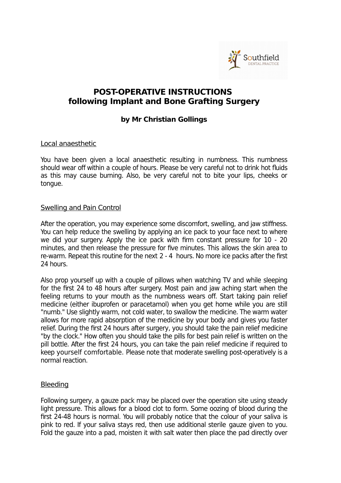

# **POST-OPERATIVE INSTRUCTIONS following Implant and Bone Grafting Surgery**

## **by Mr Christian Gollings**

### Local anaesthetic

You have been given a local anaesthetic resulting in numbness. This numbness should wear off within a couple of hours. Please be very careful not to drink hot fluids as this may cause burning. Also, be very careful not to bite your lips, cheeks or tongue.

#### Swelling and Pain Control

After the operation, you may experience some discomfort, swelling, and jaw stiffness. You can help reduce the swelling by applying an ice pack to your face next to where we did your surgery. Apply the ice pack with firm constant pressure for 10 - 20 minutes, and then release the pressure for five minutes. This allows the skin area to re-warm. Repeat this routine for the next 2 - 4 hours. No more ice packs after the first 24 hours.

Also prop yourself up with a couple of pillows when watching TV and while sleeping for the first 24 to 48 hours after surgery. Most pain and jaw aching start when the feeling returns to your mouth as the numbness wears off. Start taking pain relief medicine (either ibuprofen or paracetamol) when you get home while you are still "numb." Use slightly warm, not cold water, to swallow the medicine. The warm water allows for more rapid absorption of the medicine by your body and gives you faster relief. During the first 24 hours after surgery, you should take the pain relief medicine "by the clock." How often you should take the pills for best pain relief is written on the pill bottle. After the first 24 hours, you can take the pain relief medicine if required to keep yourself comfortable. Please note that moderate swelling post-operatively is a normal reaction.

### **Bleeding**

Following surgery, a gauze pack may be placed over the operation site using steady light pressure. This allows for a blood clot to form. Some oozing of blood during the first 24-48 hours is normal. You will probably notice that the colour of your saliva is pink to red. If your saliva stays red, then use additional sterile gauze given to you. Fold the gauze into a pad, moisten it with salt water then place the pad directly over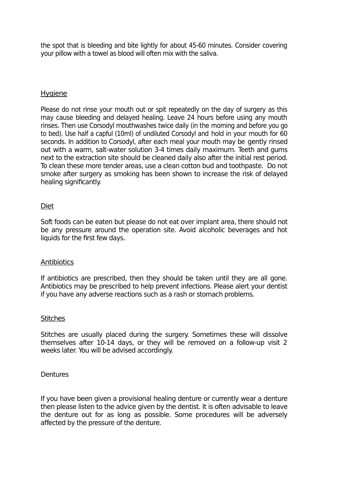the spot that is bleeding and bite lightly for about 45-60 minutes. Consider covering your pillow with a towel as blood will often mix with the saliva.

### **Hygiene**

Please do not rinse your mouth out or spit repeatedly on the day of surgery as this may cause bleeding and delayed healing. Leave 24 hours before using any mouth rinses. Then use Corsodyl mouthwashes twice daily (in the morning and before you go to bed). Use half a capful (10ml) of undiluted Corsodyl and hold in your mouth for 60 seconds. In addition to Corsodyl, after each meal your mouth may be gently rinsed out with a warm, salt-water solution 3-4 times daily maximum. Teeth and gums next to the extraction site should be cleaned daily also after the initial rest period. To clean these more tender areas, use a clean cotton bud and toothpaste. Do not smoke after surgery as smoking has been shown to increase the risk of delayed healing significantly.

### Diet

Soft foods can be eaten but please do not eat over implant area, there should not be any pressure around the operation site. Avoid alcoholic beverages and hot liquids for the first few days.

#### **Antibiotics**

If antibiotics are prescribed, then they should be taken until they are all gone. Antibiotics may be prescribed to help prevent infections. Please alert your dentist if you have any adverse reactions such as a rash or stomach problems.

#### **Stitches**

Stitches are usually placed during the surgery. Sometimes these will dissolve themselves after 10-14 days, or they will be removed on a follow-up visit 2 weeks later. You will be advised accordingly.

#### **Dentures**

If you have been given a provisional healing denture or currently wear a denture then please listen to the advice given by the dentist. It is often advisable to leave the denture out for as long as possible. Some procedures will be adversely affected by the pressure of the denture.